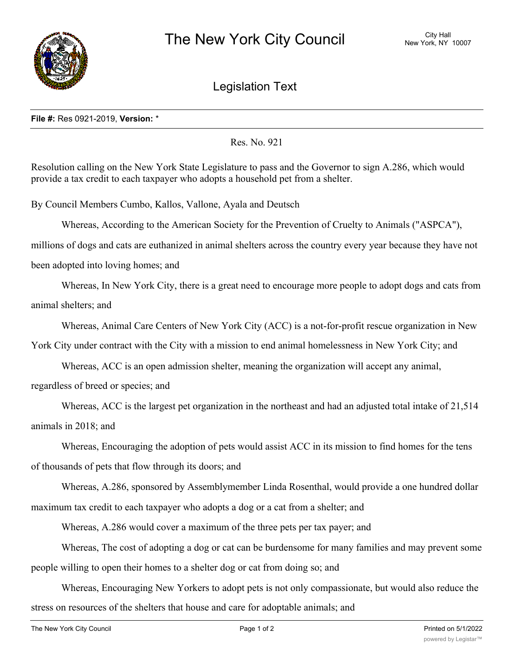

Legislation Text

## **File #:** Res 0921-2019, **Version:** \*

Res. No. 921

Resolution calling on the New York State Legislature to pass and the Governor to sign A.286, which would provide a tax credit to each taxpayer who adopts a household pet from a shelter.

By Council Members Cumbo, Kallos, Vallone, Ayala and Deutsch

Whereas, According to the American Society for the Prevention of Cruelty to Animals ("ASPCA"),

millions of dogs and cats are euthanized in animal shelters across the country every year because they have not been adopted into loving homes; and

Whereas, In New York City, there is a great need to encourage more people to adopt dogs and cats from animal shelters; and

Whereas, Animal Care Centers of New York City (ACC) is a not-for-profit rescue organization in New

York City under contract with the City with a mission to end animal homelessness in New York City; and

Whereas, ACC is an open admission shelter, meaning the organization will accept any animal,

regardless of breed or species; and

Whereas, ACC is the largest pet organization in the northeast and had an adjusted total intake of 21,514 animals in 2018; and

Whereas, Encouraging the adoption of pets would assist ACC in its mission to find homes for the tens of thousands of pets that flow through its doors; and

Whereas, A.286, sponsored by Assemblymember Linda Rosenthal, would provide a one hundred dollar maximum tax credit to each taxpayer who adopts a dog or a cat from a shelter; and

Whereas, A.286 would cover a maximum of the three pets per tax payer; and

Whereas, The cost of adopting a dog or cat can be burdensome for many families and may prevent some people willing to open their homes to a shelter dog or cat from doing so; and

Whereas, Encouraging New Yorkers to adopt pets is not only compassionate, but would also reduce the stress on resources of the shelters that house and care for adoptable animals; and